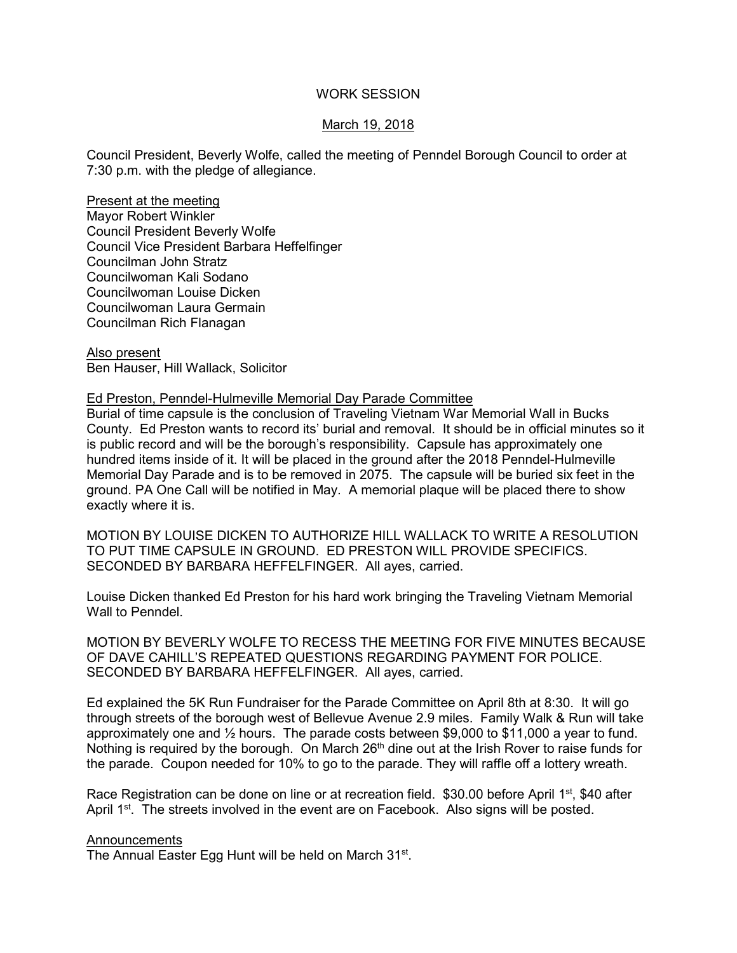## WORK SESSION

## March 19, 2018

Council President, Beverly Wolfe, called the meeting of Penndel Borough Council to order at 7:30 p.m. with the pledge of allegiance.

Present at the meeting Mayor Robert Winkler Council President Beverly Wolfe Council Vice President Barbara Heffelfinger Councilman John Stratz Councilwoman Kali Sodano Councilwoman Louise Dicken Councilwoman Laura Germain Councilman Rich Flanagan

Also present Ben Hauser, Hill Wallack, Solicitor

### Ed Preston, Penndel-Hulmeville Memorial Day Parade Committee

Burial of time capsule is the conclusion of Traveling Vietnam War Memorial Wall in Bucks County. Ed Preston wants to record its' burial and removal. It should be in official minutes so it is public record and will be the borough's responsibility. Capsule has approximately one hundred items inside of it. It will be placed in the ground after the 2018 Penndel-Hulmeville Memorial Day Parade and is to be removed in 2075. The capsule will be buried six feet in the ground. PA One Call will be notified in May. A memorial plaque will be placed there to show exactly where it is.

MOTION BY LOUISE DICKEN TO AUTHORIZE HILL WALLACK TO WRITE A RESOLUTION TO PUT TIME CAPSULE IN GROUND. ED PRESTON WILL PROVIDE SPECIFICS. SECONDED BY BARBARA HEFFELFINGER. All ayes, carried.

Louise Dicken thanked Ed Preston for his hard work bringing the Traveling Vietnam Memorial Wall to Penndel.

MOTION BY BEVERLY WOLFE TO RECESS THE MEETING FOR FIVE MINUTES BECAUSE OF DAVE CAHILL'S REPEATED QUESTIONS REGARDING PAYMENT FOR POLICE. SECONDED BY BARBARA HEFFELFINGER. All ayes, carried.

Ed explained the 5K Run Fundraiser for the Parade Committee on April 8th at 8:30. It will go through streets of the borough west of Bellevue Avenue 2.9 miles. Family Walk & Run will take approximately one and ½ hours. The parade costs between \$9,000 to \$11,000 a year to fund. Nothing is required by the borough. On March 26<sup>th</sup> dine out at the Irish Rover to raise funds for the parade. Coupon needed for 10% to go to the parade. They will raffle off a lottery wreath.

Race Registration can be done on line or at recreation field. \$30.00 before April 1<sup>st</sup>, \$40 after April 1<sup>st</sup>. The streets involved in the event are on Facebook. Also signs will be posted.

#### **Announcements**

The Annual Easter Egg Hunt will be held on March 31<sup>st</sup>.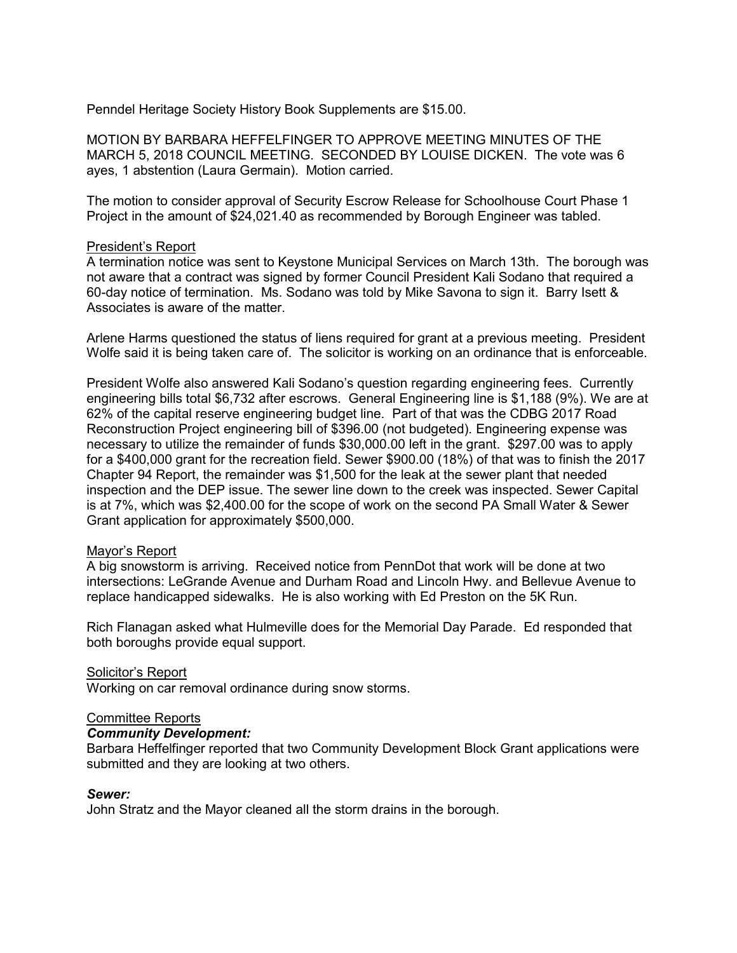Penndel Heritage Society History Book Supplements are \$15.00.

MOTION BY BARBARA HEFFELFINGER TO APPROVE MEETING MINUTES OF THE MARCH 5, 2018 COUNCIL MEETING. SECONDED BY LOUISE DICKEN. The vote was 6 ayes, 1 abstention (Laura Germain). Motion carried.

The motion to consider approval of Security Escrow Release for Schoolhouse Court Phase 1 Project in the amount of \$24,021.40 as recommended by Borough Engineer was tabled.

### President's Report

A termination notice was sent to Keystone Municipal Services on March 13th. The borough was not aware that a contract was signed by former Council President Kali Sodano that required a 60-day notice of termination. Ms. Sodano was told by Mike Savona to sign it. Barry Isett & Associates is aware of the matter.

Arlene Harms questioned the status of liens required for grant at a previous meeting. President Wolfe said it is being taken care of. The solicitor is working on an ordinance that is enforceable.

President Wolfe also answered Kali Sodano's question regarding engineering fees. Currently engineering bills total \$6,732 after escrows. General Engineering line is \$1,188 (9%). We are at 62% of the capital reserve engineering budget line. Part of that was the CDBG 2017 Road Reconstruction Project engineering bill of \$396.00 (not budgeted). Engineering expense was necessary to utilize the remainder of funds \$30,000.00 left in the grant. \$297.00 was to apply for a \$400,000 grant for the recreation field. Sewer \$900.00 (18%) of that was to finish the 2017 Chapter 94 Report, the remainder was \$1,500 for the leak at the sewer plant that needed inspection and the DEP issue. The sewer line down to the creek was inspected. Sewer Capital is at 7%, which was \$2,400.00 for the scope of work on the second PA Small Water & Sewer Grant application for approximately \$500,000.

# Mayor's Report

A big snowstorm is arriving. Received notice from PennDot that work will be done at two intersections: LeGrande Avenue and Durham Road and Lincoln Hwy. and Bellevue Avenue to replace handicapped sidewalks. He is also working with Ed Preston on the 5K Run.

Rich Flanagan asked what Hulmeville does for the Memorial Day Parade. Ed responded that both boroughs provide equal support.

### Solicitor's Report

Working on car removal ordinance during snow storms.

### Committee Reports

### *Community Development:*

Barbara Heffelfinger reported that two Community Development Block Grant applications were submitted and they are looking at two others.

### *Sewer:*

John Stratz and the Mayor cleaned all the storm drains in the borough.